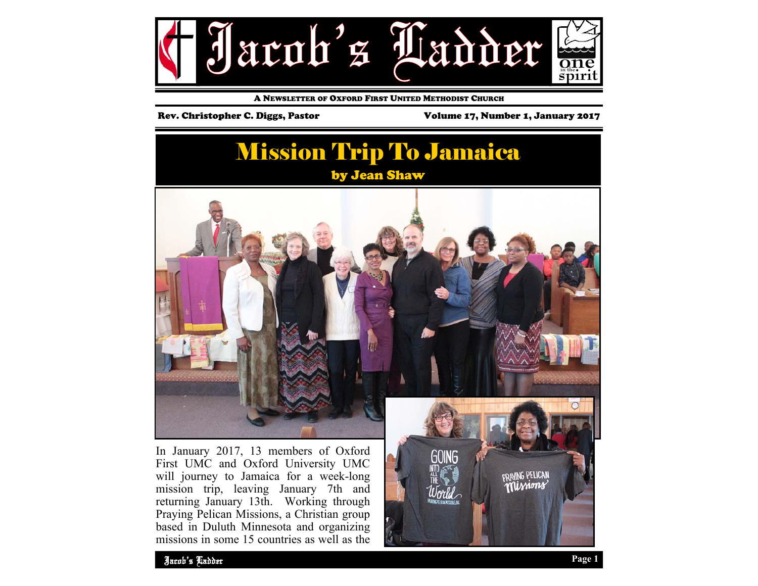

A NEWSLETTER OF OXFORD FIRST UNITED METHODIST CHURCH

Rev. Christopher C. Diggs, Pastor Volume 17, Number 1, January 2017

## **Mission Trip To Jamaica** by Jean Shaw



In January 2017, 13 members of Oxford First UMC and Oxford University UMC will journey to Jamaica for a week-long mission trip, leaving January 7th and returning January 13th. Working through Praying Pelican Missions, a Christian group based in Duluth Minnesota and organizing missions in some 15 countries as well as the



**DRINNG PELICAN**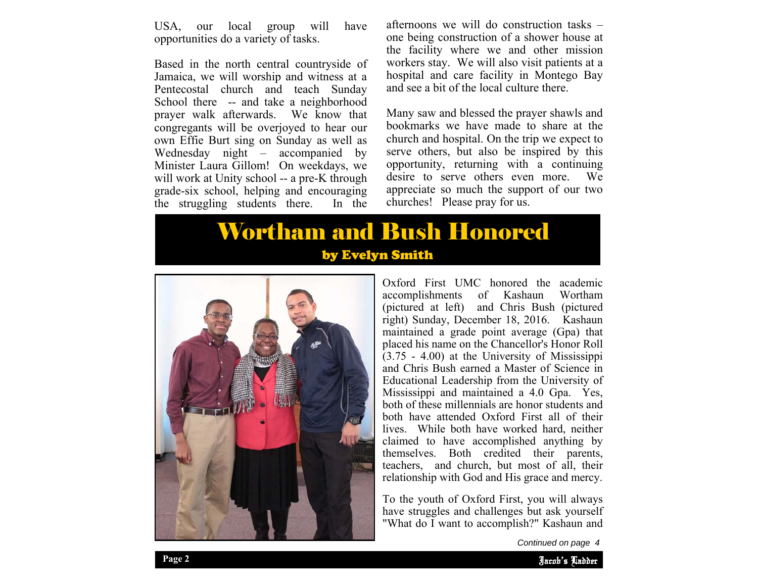USA, our local group will have opportunities do a variety of tasks.

Based in the north central countryside of Jamaica, we will worship and witness at a Pentecostal church and teach Sunday School there -- and take a neighborhood prayer walk afterwards. We know that congregants will be overjoyed to hear our own Effie Burt sing on Sunday as well as Wednesday night – accompanied by Minister Laura Gillom! On weekdays, we will work at Unity school -- a pre-K through grade-six school, helping and encouraging the struggling students there. In the

afternoons we will do construction tasks – one being construction of a shower house at the facility where we and other mission workers stay. We will also visit patients at a hospital and care facility in Montego Bay and see a bit of the local culture there.

Many saw and blessed the prayer shawls and bookmarks we have made to share at the church and hospital. On the trip we expect to serve others, but also be inspired by this opportunity, returning with a continuing desire to serve others even more. We appreciate so much the support of our two churches! Please pray for us.

## Wortham and Bush Honored by Evelyn Smith



Oxford First UMC honored the academic accomplishments of Kashaun Wortham (pictured at left) and Chris Bush (pictured right) Sunday, December 18, 2016. Kashaun maintained a grade point average (Gpa) that placed his name on the Chancellor's Honor Roll (3.75 - 4.00) at the University of Mississippi and Chris Bush earned a Master of Science in Educational Leadership from the University of Mississippi and maintained a 4.0 Gpa. Yes, both of these millennials are honor students and both have attended Oxford First all of their lives. While both have worked hard, neither claimed to have accomplished anything by themselves. Both credited their parents, teachers, and church, but most of all, their relationship with God and His grace and mercy.

have struggles and challenges but ask yourself To the youth of Oxford First, you will always "What do I want to accomplish?" Kashaun and

Jacob's Ladder

*Continued on page 4*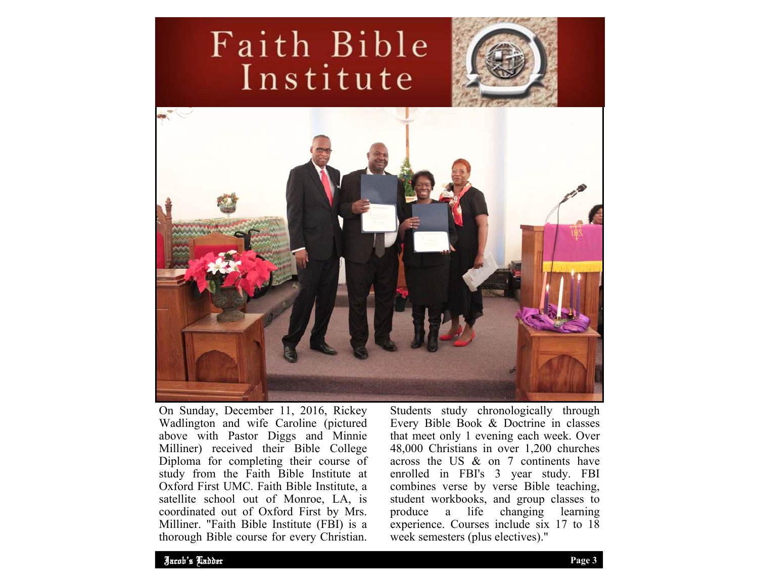# Faith Bible Institute





On Sunday, December 11, 2016, Rickey Wadlington and wife Caroline (pictured above with Pastor Diggs and Minnie Milliner) received their Bible College Diploma for completing their course of study from the Faith Bible Institute at Oxford First UMC. Faith Bible Institute, a satellite school out of Monroe, LA, is coordinated out of Oxford First by Mrs. Milliner. "Faith Bible Institute (FBI) is a thorough Bible course for every Christian.

Students study chronologically through Every Bible Book & Doctrine in classes that meet only 1 evening each week. Over 48,000 Christians in over 1,200 churches across the US & on 7 continents have enrolled in FBI's 3 year study. FBI combines verse by verse Bible teaching, student workbooks, and group classes to produce a life changing learning experience. Courses include six 17 to 18 week semesters (plus electives)."